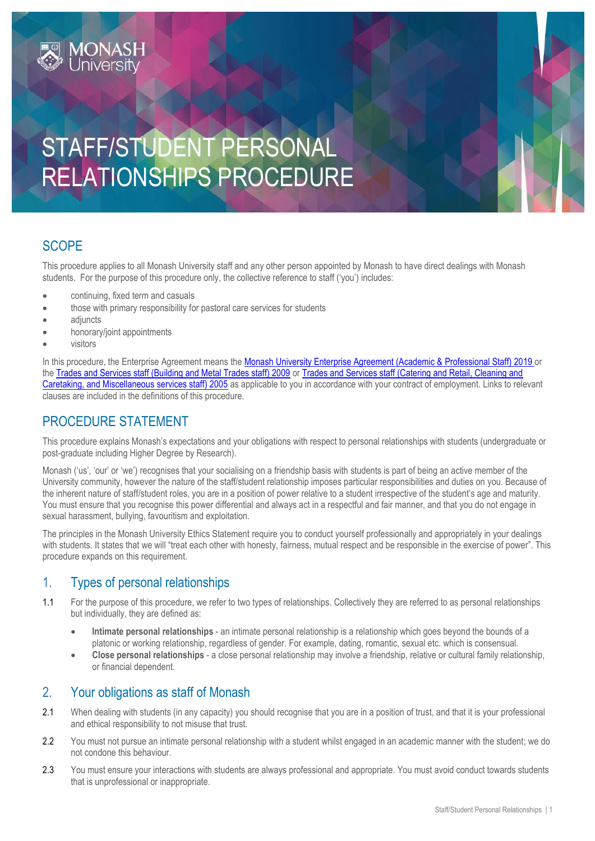# STAFF/STUDENT PERSONAL RELATIONSHIPS PROCEDURE

# **SCOPE**

This procedure applies to all Monash University staff and any other person appointed by Monash to have direct dealings with Monash students. For the purpose of this procedure only, the collective reference to staff ('you') includes:

- continuing, fixed term and casuals
- those with primary responsibility for pastoral care services for students
- adjuncts
- honorary/joint appointments

**MONASH**<br>University

visitors

In this procedure, the Enterprise Agreement means the [Monash University Enterprise Agreement \(Academic & Professional Staff\) 2019](https://www.monash.edu/current-enterprise-agreements/academic-professional-2019) or the [Trades and Services staff \(Building and Metal Trades staff\) 2009](https://www.monash.edu/current-enterprise-agreements/trades-services-bmt-2009) or [Trades and Services staff \(Catering and Retail, Cleaning and](https://www.monash.edu/current-enterprise-agreements/trades-services-crccm-2005)  [Caretaking, and Miscellaneous services staff\) 2005](https://www.monash.edu/current-enterprise-agreements/trades-services-crccm-2005) as applicable to you in accordance with your contract of employment. Links to relevant clauses are included in the definitions of this procedure.

# PROCEDURE STATEMENT

This procedure explains Monash's expectations and your obligations with respect to personal relationships with students (undergraduate or post-graduate including Higher Degree by Research).

Monash ('us', 'our' or 'we') recognises that your socialising on a friendship basis with students is part of being an active member of the University community, however the nature of the staff/student relationship imposes particular responsibilities and duties on you. Because of the inherent nature of staff/student roles, you are in a position of power relative to a student irrespective of the student's age and maturity. You must ensure that you recognise this power differential and always act in a respectful and fair manner, and that you do not engage in sexual harassment, bullying, favouritism and exploitation.

The principles in the Monash University Ethics Statement require you to conduct yourself professionally and appropriately in your dealings with students. It states that we will "treat each other with honesty, fairness, mutual respect and be responsible in the exercise of power". This procedure expands on this requirement.

# 1. Types of personal relationships

- 1.1 For the purpose of this procedure, we refer to two types of relationships. Collectively they are referred to as personal relationships but individually, they are defined as:
	- **Intimate personal relationships** an intimate personal relationship is a relationship which goes beyond the bounds of a platonic or working relationship, regardless of gender. For example, dating, romantic, sexual etc. which is consensual.
	- **Close personal relationships** a close personal relationship may involve a friendship, relative or cultural family relationship, or financial dependent.

# 2. Your obligations as staff of Monash

- 2.1 When dealing with students (in any capacity) you should recognise that you are in a position of trust, and that it is your professional and ethical responsibility to not misuse that trust.
- 2.2 You must not pursue an intimate personal relationship with a student whilst engaged in an academic manner with the student; we do not condone this behaviour.
- 2.3 You must ensure your interactions with students are always professional and appropriate. You must avoid conduct towards students that is unprofessional or inappropriate.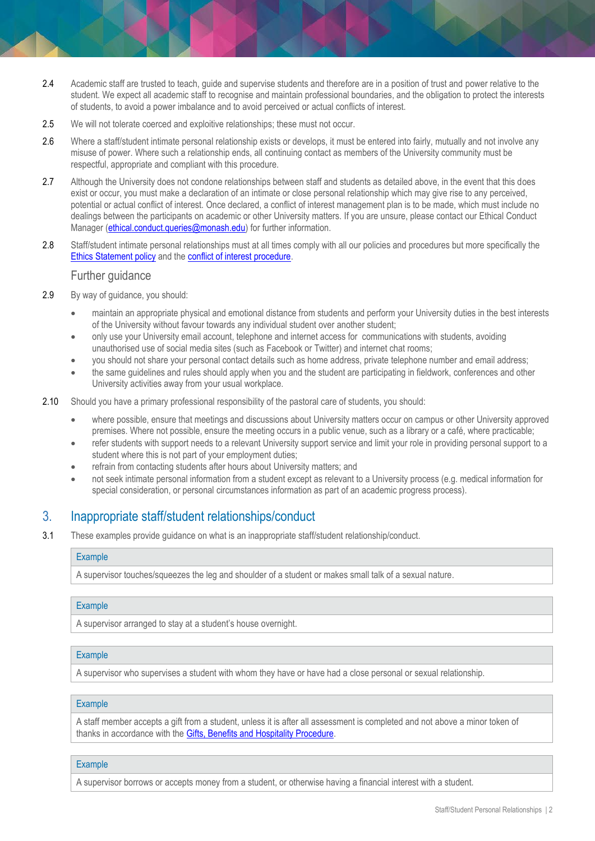- 2.4 Academic staff are trusted to teach, quide and supervise students and therefore are in a position of trust and power relative to the student. We expect all academic staff to recognise and maintain professional boundaries, and the obligation to protect the interests of students, to avoid a power imbalance and to avoid perceived or actual conflicts of interest.
- 2.5 We will not tolerate coerced and exploitive relationships; these must not occur.
- 2.6 Where a staff/student intimate personal relationship exists or develops, it must be entered into fairly, mutually and not involve any misuse of power. Where such a relationship ends, all continuing contact as members of the University community must be respectful, appropriate and compliant with this procedure.
- 2.7 Although the University does not condone relationships between staff and students as detailed above, in the event that this does exist or occur, you must make a declaration of an intimate or close personal relationship which may give rise to any perceived, potential or actual conflict of interest. Once declared, a conflict of interest management plan is to be made, which must include no dealings between the participants on academic or other University matters. If you are unsure, please contact our Ethical Conduct Manager [\(ethical.conduct.queries@monash.edu\)](mailto:ethical.conduct.queries@monash.edu) for further information.
- 2.8 Staff/student intimate personal relationships must at all times comply with all our policies and procedures but more specifically the [Ethics Statement policy](https://publicpolicydms.monash.edu/Monash/documents/1935683) and the [conflict of interest procedure.](https://publicpolicydms.monash.edu/Monash/documents/1935671)

### Further guidance

- 2.9 By way of guidance, you should:
	- maintain an appropriate physical and emotional distance from students and perform your University duties in the best interests of the University without favour towards any individual student over another student;
	- only use your University email account, telephone and internet access for communications with students, avoiding unauthorised use of social media sites (such as Facebook or Twitter) and internet chat rooms;
	- you should not share your personal contact details such as home address, private telephone number and email address;
	- the same guidelines and rules should apply when you and the student are participating in fieldwork, conferences and other University activities away from your usual workplace.
- 2.10 Should you have a primary professional responsibility of the pastoral care of students, you should:
	- where possible, ensure that meetings and discussions about University matters occur on campus or other University approved premises. Where not possible, ensure the meeting occurs in a public venue, such as a library or a café, where practicable;
	- refer students with support needs to a relevant University support service and limit your role in providing personal support to a student where this is not part of your employment duties;
	- refrain from contacting students after hours about University matters; and
	- not seek intimate personal information from a student except as relevant to a University process (e.g. medical information for special consideration, or personal circumstances information as part of an academic progress process).

### 3. Inappropriate staff/student relationships/conduct

3.1 These examples provide guidance on what is an inappropriate staff/student relationship/conduct.

#### **Example**

A supervisor touches/squeezes the leg and shoulder of a student or makes small talk of a sexual nature.

#### Example

A supervisor arranged to stay at a student's house overnight.

#### **Example**

A supervisor who supervises a student with whom they have or have had a close personal or sexual relationship.

#### Example

A staff member accepts a gift from a student, unless it is after all assessment is completed and not above a minor token of thanks in accordance with th[e Gifts, Benefits and Hospitality Procedure.](https://publicpolicydms.monash.edu/Monash/documents/1935701)

#### **Example**

A supervisor borrows or accepts money from a student, or otherwise having a financial interest with a student.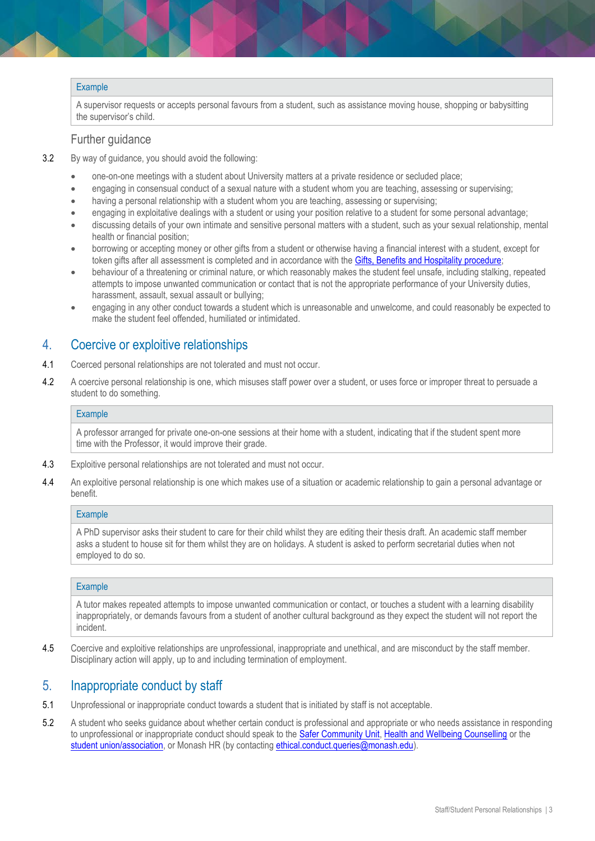#### **Example**

A supervisor requests or accepts personal favours from a student, such as assistance moving house, shopping or babysitting the supervisor's child.

#### Further guidance

- 3.2 By way of guidance, you should avoid the following:
	- one-on-one meetings with a student about University matters at a private residence or secluded place;
	- engaging in consensual conduct of a sexual nature with a student whom you are teaching, assessing or supervising;
	- having a personal relationship with a student whom you are teaching, assessing or supervising;
	- engaging in exploitative dealings with a student or using your position relative to a student for some personal advantage;
	- discussing details of your own intimate and sensitive personal matters with a student, such as your sexual relationship, mental health or financial position;
	- borrowing or accepting money or other gifts from a student or otherwise having a financial interest with a student, except for token gifts after all assessment is completed and in accordance with the [Gifts, Benefits and Hospitality procedure;](https://publicpolicydms.monash.edu/Monash/documents/1935701)
	- behaviour of a threatening or criminal nature, or which reasonably makes the student feel unsafe, including stalking, repeated attempts to impose unwanted communication or contact that is not the appropriate performance of your University duties, harassment, assault, sexual assault or bullying;
	- engaging in any other conduct towards a student which is unreasonable and unwelcome, and could reasonably be expected to make the student feel offended, humiliated or intimidated.

### 4. Coercive or exploitive relationships

- 4.1 Coerced personal relationships are not tolerated and must not occur.
- 4.2 A coercive personal relationship is one, which misuses staff power over a student, or uses force or improper threat to persuade a student to do something.

#### **Example**

A professor arranged for private one-on-one sessions at their home with a student, indicating that if the student spent more time with the Professor, it would improve their grade.

- 4.3 Exploitive personal relationships are not tolerated and must not occur.
- 4.4 An exploitive personal relationship is one which makes use of a situation or academic relationship to gain a personal advantage or benefit.

#### **Example**

A PhD supervisor asks their student to care for their child whilst they are editing their thesis draft. An academic staff member asks a student to house sit for them whilst they are on holidays. A student is asked to perform secretarial duties when not employed to do so.

#### **Example**

A tutor makes repeated attempts to impose unwanted communication or contact, or touches a student with a learning disability inappropriately, or demands favours from a student of another cultural background as they expect the student will not report the incident.

4.5 Coercive and exploitive relationships are unprofessional, inappropriate and unethical, and are misconduct by the staff member. Disciplinary action will apply, up to and including termination of employment.

### 5. Inappropriate conduct by staff

- 5.1 Unprofessional or inappropriate conduct towards a student that is initiated by staff is not acceptable.
- 5.2 A student who seeks guidance about whether certain conduct is professional and appropriate or who needs assistance in responding to unprofessional or inappropriate conduct should speak to the [Safer Community Unit,](https://www.monash.edu/safer-community) [Health and Wellbeing Counselling](https://www.monash.edu/health/counselling) or the [student union/association,](https://www.monash.edu/get-started/orientation/student-unions) or Monash HR (by contacting [ethical.conduct.queries@monash.edu\)](mailto:ethical.conduct.queries@monash.edu).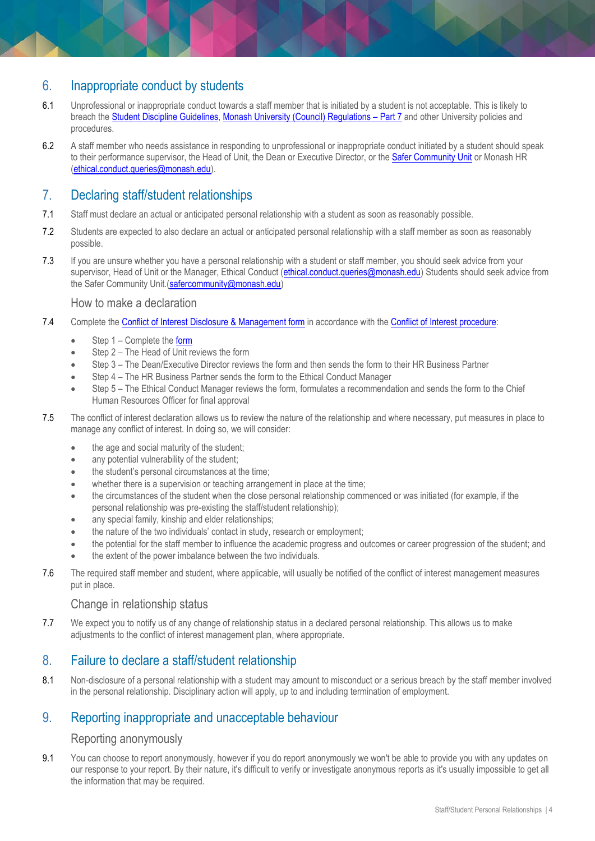# 6. Inappropriate conduct by students

- 6.1 Unprofessional or inappropriate conduct towards a staff member that is initiated by a student is not acceptable. This is likely to breach the [Student Discipline Guidelines,](https://www.monash.edu/__data/assets/pdf_file/0005/769640/student-discipline-guidelines-26-Feb-2018.pdf) [Monash University \(Council\) Regulations](https://www.monash.edu/__data/assets/pdf_file/0011/1292825/Monash-University-Council-Regulations-26-Feb-2018.pdf) – Part 7 and other University policies and procedures.
- 6.2 A staff member who needs assistance in responding to unprofessional or inappropriate conduct initiated by a student should speak to their performance supervisor, the Head of Unit, the Dean or Executive Director, or th[e Safer Community Unit](https://www.monash.edu/safer-community/contacts) or Monash HR [\(ethical.conduct.queries@monash.edu\)](mailto:ethical.conduct.queries@monash.edu).

# 7. Declaring staff/student relationships

- 7.1 Staff must declare an actual or anticipated personal relationship with a student as soon as reasonably possible.
- 7.2 Students are expected to also declare an actual or anticipated personal relationship with a staff member as soon as reasonably possible.
- 7.3 If you are unsure whether you have a personal relationship with a student or staff member, you should seek advice from your supervisor, Head of Unit or the Manager, Ethical Conduct [\(ethical.conduct.queries@monash.edu\)](mailto:ethical.conduct.queries@monash.edu) Students should seek advice from the Safer Community Unit.[\(safercommunity@monash.edu\)](mailto:safercommunity@monash.edu)

### How to make a declaration

- 7.4 Complete the [Conflict of Interest Disclosure & Management form](http://www.intranet.monash/hr/assets/docs/tools-and-resources/forms/word/COI-Disclosure-and-Management-form.doc) in accordance with the [Conflict of Interest procedure:](https://publicpolicydms.monash.edu/Monash/documents/1935671)
	- Step 1 Complete the [form](http://www.intranet.monash/hr/assets/docs/tools-and-resources/forms/word/COI-Disclosure-and-Management-form.doc)
	- Step 2 The Head of Unit reviews the form
	- Step 3 The Dean/Executive Director reviews the form and then sends the form to their HR Business Partner
	- Step 4 The HR Business Partner sends the form to the Ethical Conduct Manager
	- Step 5 The Ethical Conduct Manager reviews the form, formulates a recommendation and sends the form to the Chief Human Resources Officer for final approval
- 7.5 The conflict of interest declaration allows us to review the nature of the relationship and where necessary, put measures in place to manage any conflict of interest. In doing so, we will consider:
	- the age and social maturity of the student;
	- any potential vulnerability of the student:
	- the student's personal circumstances at the time:
	- whether there is a supervision or teaching arrangement in place at the time;
	- the circumstances of the student when the close personal relationship commenced or was initiated (for example, if the personal relationship was pre-existing the staff/student relationship);
	- any special family, kinship and elder relationships;
	- the nature of the two individuals' contact in study, research or employment;
	- the potential for the staff member to influence the academic progress and outcomes or career progression of the student; and
	- the extent of the power imbalance between the two individuals.
- 7.6 The required staff member and student, where applicable, will usually be notified of the conflict of interest management measures put in place.

### Change in relationship status

7.7 We expect you to notify us of any change of relationship status in a declared personal relationship. This allows us to make adjustments to the conflict of interest management plan, where appropriate.

# 8. Failure to declare a staff/student relationship

8.1 Non-disclosure of a personal relationship with a student may amount to misconduct or a serious breach by the staff member involved in the personal relationship. Disciplinary action will apply, up to and including termination of employment.

# 9. Reporting inappropriate and unacceptable behaviour

### Reporting anonymously

9.1 You can choose to report anonymously, however if you do report anonymously we won't be able to provide you with any updates on our response to your report. By their nature, it's difficult to verify or investigate anonymous reports as it's usually impossible to get all the information that may be required.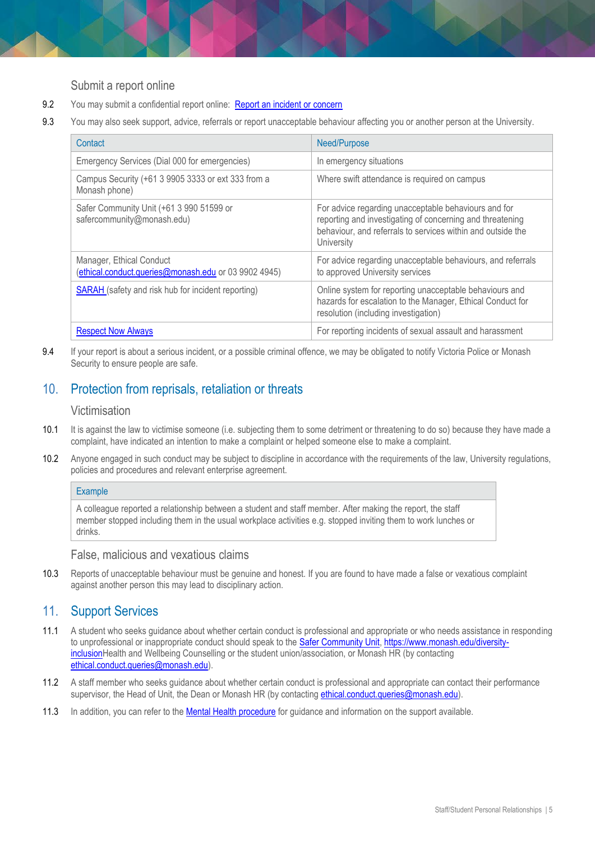### Submit a report online

- 9.2 You may submit a confidential report online: [Report an incident or concern](https://connect-forms.apps.monash.edu/students/report-incident/safer-community/)
- 9.3 You may also seek support, advice, referrals or report unacceptable behaviour affecting you or another person at the University.

| Contact                                                                          | Need/Purpose                                                                                                                                                                                   |
|----------------------------------------------------------------------------------|------------------------------------------------------------------------------------------------------------------------------------------------------------------------------------------------|
| Emergency Services (Dial 000 for emergencies)                                    | In emergency situations                                                                                                                                                                        |
| Campus Security (+61 3 9905 3333 or ext 333 from a<br>Monash phone)              | Where swift attendance is required on campus                                                                                                                                                   |
| Safer Community Unit (+61 3 990 51599 or<br>safercommunity@monash.edu)           | For advice regarding unacceptable behaviours and for<br>reporting and investigating of concerning and threatening<br>behaviour, and referrals to services within and outside the<br>University |
| Manager, Ethical Conduct<br>(ethical.conduct.queries@monash.edu or 03 9902 4945) | For advice regarding unacceptable behaviours, and referrals<br>to approved University services                                                                                                 |
| <b>SARAH</b> (safety and risk hub for incident reporting)                        | Online system for reporting unacceptable behaviours and<br>hazards for escalation to the Manager, Ethical Conduct for<br>resolution (including investigation)                                  |
| <b>Respect Now Always</b>                                                        | For reporting incidents of sexual assault and harassment                                                                                                                                       |

9.4 If your report is about a serious incident, or a possible criminal offence, we may be obligated to notify Victoria Police or Monash Security to ensure people are safe.

# 10. Protection from reprisals, retaliation or threats

## Victimisation

- 10.1 It is against the law to victimise someone (i.e. subjecting them to some detriment or threatening to do so) because they have made a complaint, have indicated an intention to make a complaint or helped someone else to make a complaint.
- 10.2 Anyone engaged in such conduct may be subject to discipline in accordance with the requirements of the law, University regulations, policies and procedures and relevant enterprise agreement.

#### **Example**

A colleague reported a relationship between a student and staff member. After making the report, the staff member stopped including them in the usual workplace activities e.g. stopped inviting them to work lunches or drinks.

#### False, malicious and vexatious claims

10.3 Reports of unacceptable behaviour must be genuine and honest. If you are found to have made a false or vexatious complaint against another person this may lead to disciplinary action.

# 11. Support Services

- 11.1 A student who seeks guidance about whether certain conduct is professional and appropriate or who needs assistance in responding to unprofessional or inappropriate conduct should speak to the [Safer Community Unit,](https://www.monash.edu/safer-community) [https://www.monash.edu/diversity](https://www.monash.edu/diversity-inclusion)[inclusionH](https://www.monash.edu/diversity-inclusion)ealth and Wellbeing Counselling or the student union/association, or Monash HR (by contacting [ethical.conduct.queries@monash.edu\)](mailto:ethical.conduct.queries@monash.edu).
- 11.2 A staff member who seeks guidance about whether certain conduct is professional and appropriate can contact their performance supervisor, the Head of Unit, the Dean or Monash HR (by contacting [ethical.conduct.queries@monash.edu\)](mailto:ethical.conduct.queries@monash.edu).
- 11.3 In addition, you can refer to the [Mental Health procedure](https://publicpolicydms.monash.edu/Monash/documents/1942903) for guidance and information on the support available.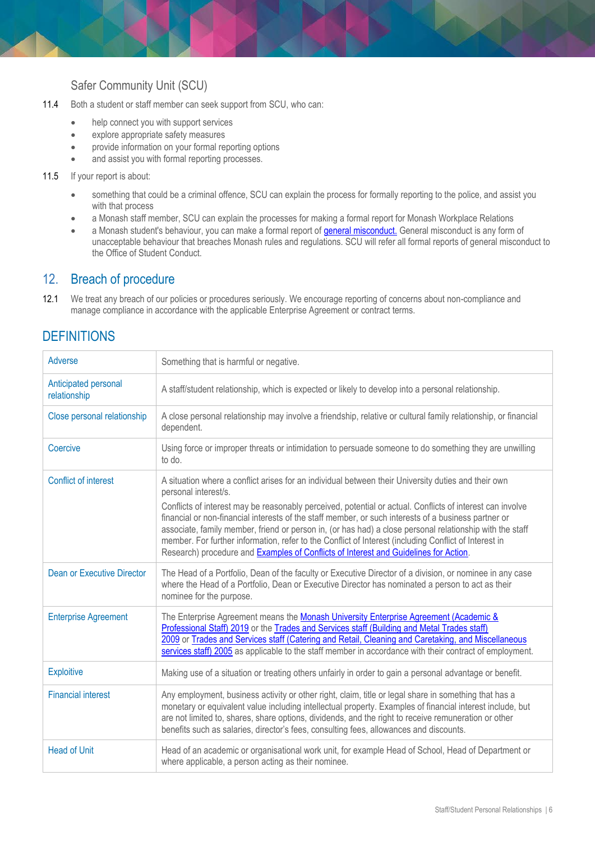# Safer Community Unit (SCU)

- 11.4 Both a student or staff member can seek support from SCU, who can:
	- help connect you with support services
	- explore appropriate safety measures
	- provide information on your formal reporting options
	- and assist you with formal reporting processes.

#### 11.5 If your report is about:

- something that could be a criminal offence, SCU can explain the process for formally reporting to the police, and assist you with that process
- a Monash staff member, SCU can explain the processes for making a formal report for Monash Workplace Relations
- a Monash student's behaviour, you can make a formal report of *general misconduct*. [General misconduct](https://www.monash.edu/students/general-misconduct) is any form of unacceptable behaviour that breaches Monash rules and regulations. SCU will refer all formal reports of general misconduct to the Office of Student Conduct.

### 12. Breach of procedure

12.1 We treat any breach of our policies or procedures seriously. We encourage reporting of concerns about non-compliance and manage compliance in accordance with the applicable Enterprise Agreement or contract terms.

# **DEFINITIONS**

| Adverse                              | Something that is harmful or negative.                                                                                                                                                                                                                                                                                                                                                                                                                                                                                                                                                                                                                        |
|--------------------------------------|---------------------------------------------------------------------------------------------------------------------------------------------------------------------------------------------------------------------------------------------------------------------------------------------------------------------------------------------------------------------------------------------------------------------------------------------------------------------------------------------------------------------------------------------------------------------------------------------------------------------------------------------------------------|
| Anticipated personal<br>relationship | A staff/student relationship, which is expected or likely to develop into a personal relationship.                                                                                                                                                                                                                                                                                                                                                                                                                                                                                                                                                            |
| Close personal relationship          | A close personal relationship may involve a friendship, relative or cultural family relationship, or financial<br>dependent.                                                                                                                                                                                                                                                                                                                                                                                                                                                                                                                                  |
| Coercive                             | Using force or improper threats or intimidation to persuade someone to do something they are unwilling<br>to do.                                                                                                                                                                                                                                                                                                                                                                                                                                                                                                                                              |
| Conflict of interest                 | A situation where a conflict arises for an individual between their University duties and their own<br>personal interest/s.<br>Conflicts of interest may be reasonably perceived, potential or actual. Conflicts of interest can involve<br>financial or non-financial interests of the staff member, or such interests of a business partner or<br>associate, family member, friend or person in, (or has had) a close personal relationship with the staff<br>member. For further information, refer to the Conflict of Interest (including Conflict of Interest in<br>Research) procedure and Examples of Conflicts of Interest and Guidelines for Action. |
| <b>Dean or Executive Director</b>    | The Head of a Portfolio, Dean of the faculty or Executive Director of a division, or nominee in any case<br>where the Head of a Portfolio, Dean or Executive Director has nominated a person to act as their<br>nominee for the purpose.                                                                                                                                                                                                                                                                                                                                                                                                                      |
| <b>Enterprise Agreement</b>          | The Enterprise Agreement means the Monash University Enterprise Agreement (Academic &<br>Professional Staff) 2019 or the Trades and Services staff (Building and Metal Trades staff)<br>2009 or Trades and Services staff (Catering and Retail, Cleaning and Caretaking, and Miscellaneous<br>services staff) 2005 as applicable to the staff member in accordance with their contract of employment.                                                                                                                                                                                                                                                         |
| <b>Exploitive</b>                    | Making use of a situation or treating others unfairly in order to gain a personal advantage or benefit.                                                                                                                                                                                                                                                                                                                                                                                                                                                                                                                                                       |
| <b>Financial interest</b>            | Any employment, business activity or other right, claim, title or legal share in something that has a<br>monetary or equivalent value including intellectual property. Examples of financial interest include, but<br>are not limited to, shares, share options, dividends, and the right to receive remuneration or other<br>benefits such as salaries, director's fees, consulting fees, allowances and discounts.                                                                                                                                                                                                                                          |
| <b>Head of Unit</b>                  | Head of an academic or organisational work unit, for example Head of School, Head of Department or<br>where applicable, a person acting as their nominee.                                                                                                                                                                                                                                                                                                                                                                                                                                                                                                     |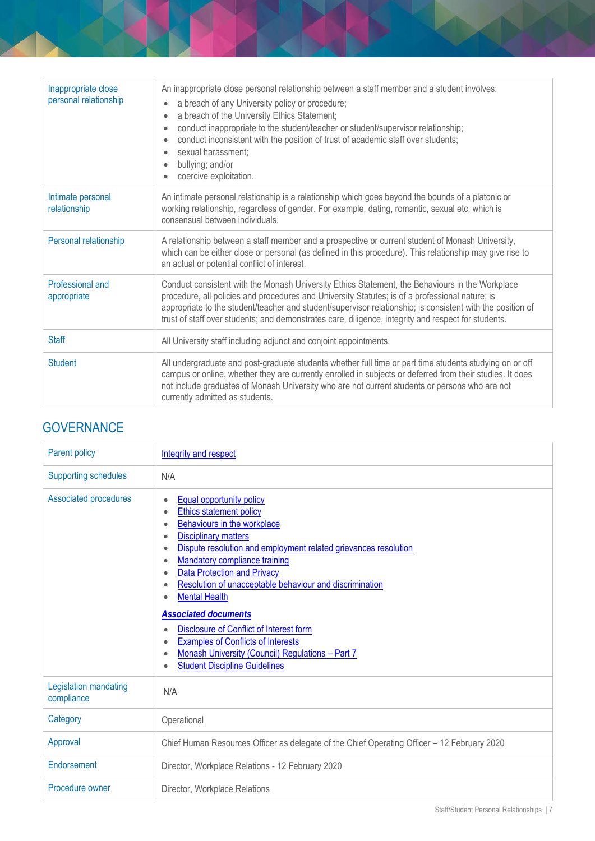| Inappropriate close<br>personal relationship | An inappropriate close personal relationship between a staff member and a student involves:<br>a breach of any University policy or procedure;<br>a breach of the University Ethics Statement;<br>conduct inappropriate to the student/teacher or student/supervisor relationship;<br>conduct inconsistent with the position of trust of academic staff over students;<br>$\bullet$<br>sexual harassment;<br>bullying; and/or |
|----------------------------------------------|-------------------------------------------------------------------------------------------------------------------------------------------------------------------------------------------------------------------------------------------------------------------------------------------------------------------------------------------------------------------------------------------------------------------------------|
|                                              | coercive exploitation.                                                                                                                                                                                                                                                                                                                                                                                                        |
| Intimate personal<br>relationship            | An intimate personal relationship is a relationship which goes beyond the bounds of a platonic or<br>working relationship, regardless of gender. For example, dating, romantic, sexual etc. which is<br>consensual between individuals.                                                                                                                                                                                       |
| Personal relationship                        | A relationship between a staff member and a prospective or current student of Monash University,<br>which can be either close or personal (as defined in this procedure). This relationship may give rise to<br>an actual or potential conflict of interest.                                                                                                                                                                  |
| Professional and<br>appropriate              | Conduct consistent with the Monash University Ethics Statement, the Behaviours in the Workplace<br>procedure, all policies and procedures and University Statutes; is of a professional nature; is<br>appropriate to the student/teacher and student/supervisor relationship; is consistent with the position of<br>trust of staff over students; and demonstrates care, diligence, integrity and respect for students.       |
| <b>Staff</b>                                 | All University staff including adjunct and conjoint appointments.                                                                                                                                                                                                                                                                                                                                                             |
| <b>Student</b>                               | All undergraduate and post-graduate students whether full time or part time students studying on or off<br>campus or online, whether they are currently enrolled in subjects or deferred from their studies. It does<br>not include graduates of Monash University who are not current students or persons who are not<br>currently admitted as students.                                                                     |

# **GOVERNANCE**

| Parent policy                       | Integrity and respect                                                                                                                                                                                                                                                                                                                                                                                                                                                                                                                                                                                                              |
|-------------------------------------|------------------------------------------------------------------------------------------------------------------------------------------------------------------------------------------------------------------------------------------------------------------------------------------------------------------------------------------------------------------------------------------------------------------------------------------------------------------------------------------------------------------------------------------------------------------------------------------------------------------------------------|
| <b>Supporting schedules</b>         | N/A                                                                                                                                                                                                                                                                                                                                                                                                                                                                                                                                                                                                                                |
| Associated procedures               | <b>Equal opportunity policy</b><br><b>Ethics statement policy</b><br>$\bullet$<br>Behaviours in the workplace<br><b>Disciplinary matters</b><br>٠<br>Dispute resolution and employment related grievances resolution<br>$\bullet$<br><b>Mandatory compliance training</b><br>$\bullet$<br><b>Data Protection and Privacy</b><br>Resolution of unacceptable behaviour and discrimination<br><b>Mental Health</b><br><b>Associated documents</b><br>Disclosure of Conflict of Interest form<br><b>Examples of Conflicts of Interests</b><br>Monash University (Council) Regulations - Part 7<br><b>Student Discipline Guidelines</b> |
| Legislation mandating<br>compliance | N/A                                                                                                                                                                                                                                                                                                                                                                                                                                                                                                                                                                                                                                |
| Category                            | Operational                                                                                                                                                                                                                                                                                                                                                                                                                                                                                                                                                                                                                        |
| Approval                            | Chief Human Resources Officer as delegate of the Chief Operating Officer - 12 February 2020                                                                                                                                                                                                                                                                                                                                                                                                                                                                                                                                        |
| Endorsement                         | Director, Workplace Relations - 12 February 2020                                                                                                                                                                                                                                                                                                                                                                                                                                                                                                                                                                                   |
| Procedure owner                     | Director, Workplace Relations                                                                                                                                                                                                                                                                                                                                                                                                                                                                                                                                                                                                      |